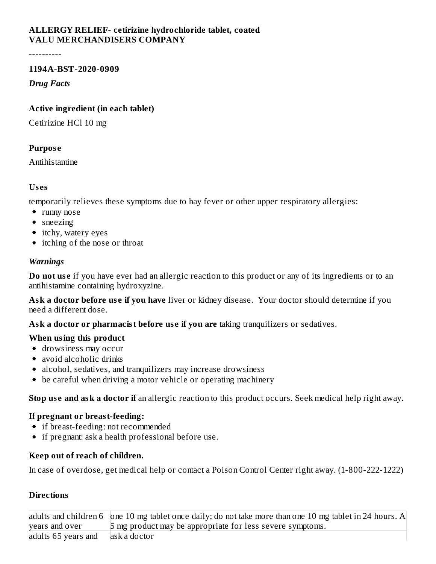# **ALLERGY RELIEF- cetirizine hydrochloride tablet, coated VALU MERCHANDISERS COMPANY**

----------

#### **1194A-BST-2020-0909**

*Drug Facts*

#### **Active ingredient (in each tablet)**

Cetirizine HCl 10 mg

#### **Purpos e**

Antihistamine

#### **Us es**

temporarily relieves these symptoms due to hay fever or other upper respiratory allergies:

- runny nose
- sneezing
- itchy, watery eyes
- itching of the nose or throat

#### *Warnings*

**Do** not use if you have ever had an allergic reaction to this product or any of its ingredients or to an antihistamine containing hydroxyzine.

**Ask a doctor before us e if you have** liver or kidney disease. Your doctor should determine if you need a different dose.

**Ask a doctor or pharmacist before us e if you are** taking tranquilizers or sedatives.

#### **When using this product**

- drowsiness may occur
- avoid alcoholic drinks
- alcohol, sedatives, and tranquilizers may increase drowsiness
- be careful when driving a motor vehicle or operating machinery

**Stop us e and ask a doctor if** an allergic reaction to this product occurs. Seek medical help right away.

#### **If pregnant or breast-feeding:**

- if breast-feeding: not recommended
- if pregnant: ask a health professional before use.

# **Keep out of reach of children.**

In case of overdose, get medical help or contact a Poison Control Center right away. (1-800-222-1222)

# **Directions**

|                     | adults and children 6 $\vert$ one 10 mg tablet once daily; do not take more than one 10 mg tablet in 24 hours. A |
|---------------------|------------------------------------------------------------------------------------------------------------------|
| years and over      | 5 mg product may be appropriate for less severe symptoms.                                                        |
| adults 65 years and | ask a doctor                                                                                                     |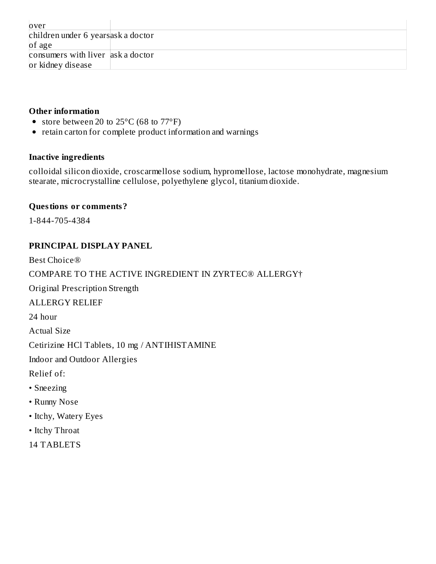| over                                 |  |  |  |  |
|--------------------------------------|--|--|--|--|
| children under 6 years as k a doctor |  |  |  |  |
| of age                               |  |  |  |  |
| consumers with liver ask a doctor    |  |  |  |  |
| or kidney disease                    |  |  |  |  |

### **Other information**

- store between 20 to 25°C (68 to 77°F)
- retain carton for complete product information and warnings

## **Inactive ingredients**

colloidal silicon dioxide, croscarmellose sodium, hypromellose, lactose monohydrate, magnesium stearate, microcrystalline cellulose, polyethylene glycol, titanium dioxide.

## **Questions or comments?**

1-844-705-4384

# **PRINCIPAL DISPLAY PANEL**

Best Choice® COMPARE TO THE ACTIVE INGREDIENT IN ZYRTEC® ALLERGY† Original Prescription Strength ALLERGY RELIEF 24 hour Actual Size Cetirizine HCl Tablets, 10 mg / ANTIHISTAMINE Indoor and Outdoor Allergies Relief of: • Sneezing • Runny Nose • Itchy, Watery Eyes • Itchy Throat

14 TABLETS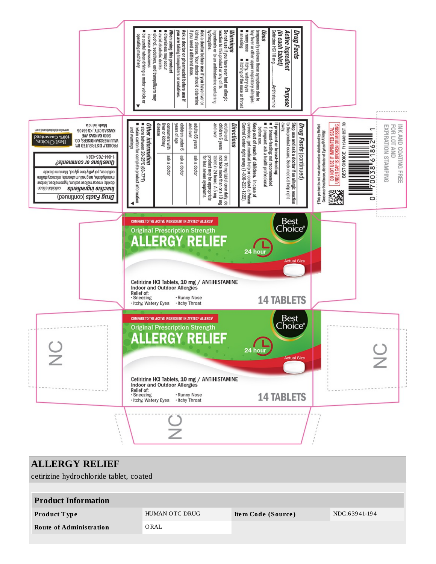

| <b>ALLERGY RELIEF</b><br>cetirizine hydrochloride tablet, coated |                |                    |               |  |  |  |  |  |  |
|------------------------------------------------------------------|----------------|--------------------|---------------|--|--|--|--|--|--|
| <b>Product Information</b>                                       |                |                    |               |  |  |  |  |  |  |
| <b>Product Type</b>                                              | HUMAN OTC DRUG | Item Code (Source) | NDC:63941-194 |  |  |  |  |  |  |
| <b>Route of Administration</b>                                   | ORAL           |                    |               |  |  |  |  |  |  |
|                                                                  |                |                    |               |  |  |  |  |  |  |